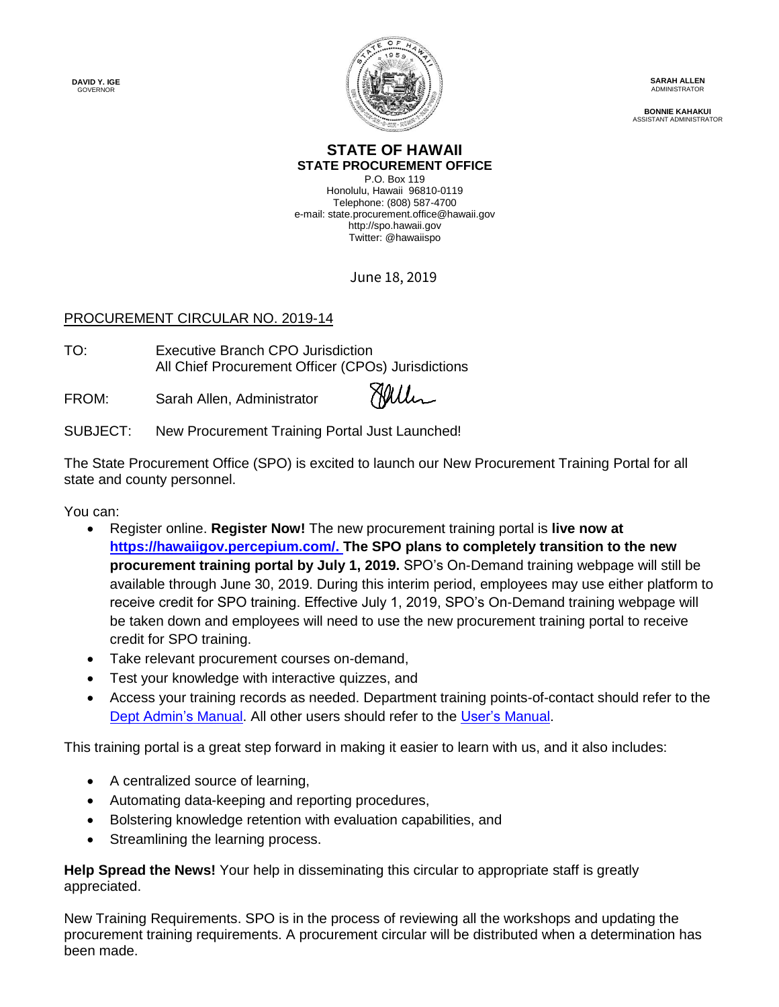**DAVID Y. IGE GOVERNOR** 



**SARAH ALLEN ADMINISTRATOR** 

**BONNIE KAHAKUI** ASSISTANT ADMINISTRATOR

## **STATE OF HAWAII STATE PROCUREMENT OFFICE**

P.O. Box 119 Honolulu, Hawaii 96810-0119 Telephone: (808) 587-4700 e-mail: state.procurement.office@hawaii.gov http://spo.hawaii.gov Twitter: @hawaiispo

June 18, 2019

## PROCUREMENT CIRCULAR NO. 2019-14

TO: Executive Branch CPO Jurisdiction All Chief Procureme[nt Officer \(CPOs\)](https://stateofhawaii.na1.echosign.com/verifier?tx=CBJCHBCAABAASoUao7Be4bA2Idw9HkFn6qXmlzLKxhpR) Jurisdictions

FROM: Sarah Allen, Administrator

Haller

## SUBJECT: New Procurement Training Portal Just Launched!

The State Procurement Office (SPO) is excited to launch our New Procurement Training Portal for all state and county personnel.

You can:

- Register online. **Register Now!** The new procurement training portal is **live now at [https://hawaiigov.percepium.com/.](https://hawaiigov.percepium.com/) The SPO plans to completely transition to the new procurement training portal by July 1, 2019.** SPO's On-Demand training webpage will still be available through June 30, 2019. During this interim period, employees may use either platform to receive credit for SPO training. Effective July 1, 2019, SPO's On-Demand training webpage will be taken down and employees will need to use the new procurement training portal to receive credit for SPO training.
- Take relevant procurement courses on-demand,
- Test your knowledge with interactive quizzes, and
- Access your training records as needed. Department training points-of-contact should refer to the [Dept Admin's](https://spo.hawaii.gov/wp-content/uploads/2019/02/SPO-Training-Portal-Dept-Admin-Manual.pdf) Manual. All other users should refer to the [User's Manual.](https://spo.hawaii.gov/wp-content/uploads/2019/02/SPO-Training-Portal-User-Manual.pdf)

This training portal is a great step forward in making it easier to learn with us, and it also includes:

- A centralized source of learning,
- Automating data-keeping and reporting procedures,
- Bolstering knowledge retention with evaluation capabilities, and
- Streamlining the learning process.

**Help Spread the News!** Your help in disseminating this circular to appropriate staff is greatly appreciated.

New Training Requirements. SPO is in the process of reviewing all the workshops and updating the procurement training requirements. A procurement circular will be distributed when a determination has been made.